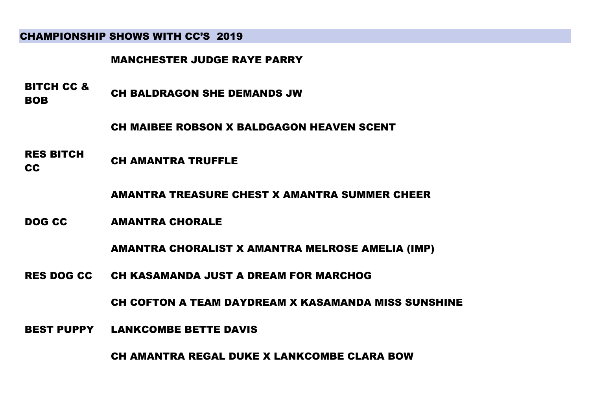# CHAMPIONSHIP SHOWS WITH CC'S 2019

#### MANCHESTER JUDGE RAYE PARRY

- BITCH CC & **BOB** CH BALDRAGON SHE DEMANDS JW
	- CH MAIBEE ROBSON X BALDGAGON HEAVEN SCENT
- RES BITCH CH AMANTRA TRUFFLE
	- AMANTRA TREASURE CHEST X AMANTRA SUMMER CHEER
- DOG CC AMANTRA CHORALE

AMANTRA CHORALIST X AMANTRA MELROSE AMELIA (IMP)

RES DOG CC CH KASAMANDA JUST A DREAM FOR MARCHOG

CH COFTON A TEAM DAYDREAM X KASAMANDA MISS SUNSHINE

BEST PUPPY LANKCOMBE BETTE DAVIS

CH AMANTRA REGAL DUKE X LANKCOMBE CLARA BOW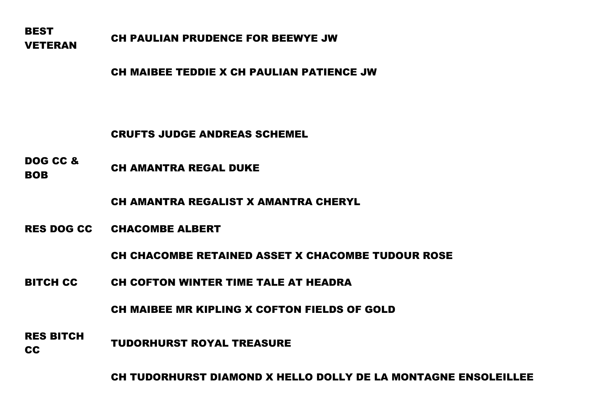**BEST** VETERAN CH PAULIAN PRUDENCE FOR BEEWYE JW

CH MAIBEE TEDDIE X CH PAULIAN PATIENCE JW

CRUFTS JUDGE ANDREAS SCHEMEL

DOG CC & **BOB** CH AMANTRA REGAL DUKE

CH AMANTRA REGALIST X AMANTRA CHERYL

RES DOG CC CHACOMBE ALBERT

CH CHACOMBE RETAINED ASSET X CHACOMBE TUDOUR ROSE

BITCH CC CH COFTON WINTER TIME TALE AT HEADRA

CH MAIBEE MR KIPLING X COFTON FIELDS OF GOLD

RES BITCH TUDORHURST ROYAL TREASURE

CH TUDORHURST DIAMOND X HELLO DOLLY DE LA MONTAGNE ENSOLEILLEE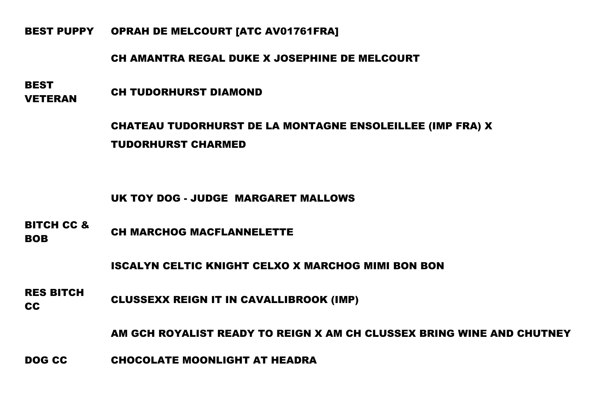BEST PUPPY OPRAH DE MELCOURT [ATC AV01761FRA]

# CH AMANTRA REGAL DUKE X JOSEPHINE DE MELCOURT

**BEST VETERAN CH TUDORHURST DIAMOND** 

> CHATEAU TUDORHURST DE LA MONTAGNE ENSOLEILLEE (IMP FRA) X TUDORHURST CHARMED

UK TOY DOG - JUDGE MARGARET MALLOWS

BITCH CC & **BOB** CH MARCHOG MACFLANNELETTE

ISCALYN CELTIC KNIGHT CELXO X MARCHOG MIMI BON BON

RES BITCH CLUSSEXX REIGN IT IN CAVALLIBROOK (IMP)

AM GCH ROYALIST READY TO REIGN X AM CH CLUSSEX BRING WINE AND CHUTNEY

DOG CC CHOCOLATE MOONLIGHT AT HEADRA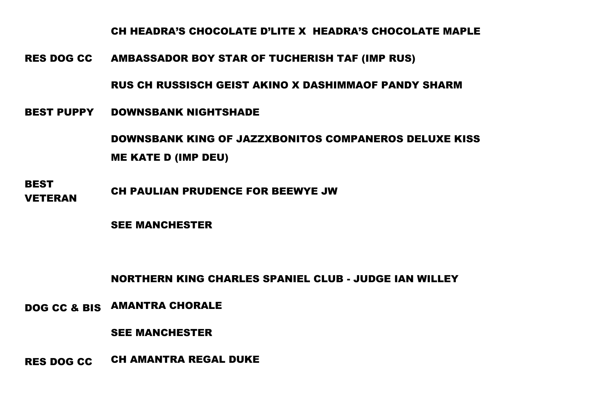CH HEADRA'S CHOCOLATE D'LITE X HEADRA'S CHOCOLATE MAPLE

RES DOG CC AMBASSADOR BOY STAR OF TUCHERISH TAF (IMP RUS)

RUS CH RUSSISCH GEIST AKINO X DASHIMMAOF PANDY SHARM

BEST PUPPY DOWNSBANK NIGHTSHADE

DOWNSBANK KING OF JAZZXBONITOS COMPANEROS DELUXE KISS ME KATE D (IMP DEU)

**BEST** VETERAN CH PAULIAN PRUDENCE FOR BEEWYE JW

SEE MANCHESTER

NORTHERN KING CHARLES SPANIEL CLUB - JUDGE IAN WILLEY

DOG CC & BIS AMANTRA CHORALE

SEE MANCHESTER

RES DOG CC CH AMANTRA REGAL DUKE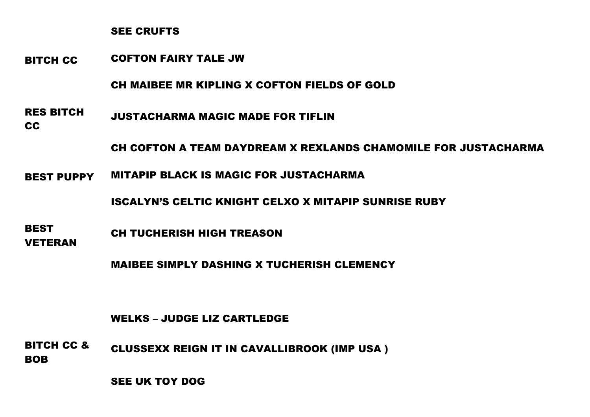SEE CRUFTS

BITCH CC COFTON FAIRY TALE JW

CH MAIBEE MR KIPLING X COFTON FIELDS OF GOLD

RES BITCH JUSTACHARMA MAGIC MADE FOR TIFLIN

CC

CH COFTON A TEAM DAYDREAM X REXLANDS CHAMOMILE FOR JUSTACHARMA

BEST PUPPY MITAPIP BLACK IS MAGIC FOR JUSTACHARMA

ISCALYN'S CELTIC KNIGHT CELXO X MITAPIP SUNRISE RUBY

**BEST** VETERAN CH TUCHERISH HIGH TREASON

MAIBEE SIMPLY DASHING X TUCHERISH CLEMENCY

#### WELKS – JUDGE LIZ CARTLEDGE

BITCH CC & CLUSSEXX REIGN IT IN CAVALLIBROOK (IMP USA )

BOB

SEE UK TOY DOG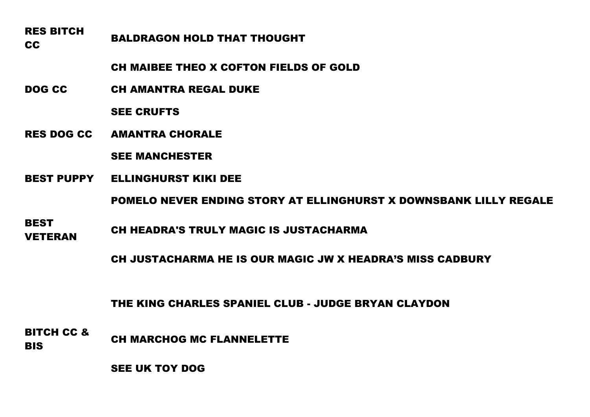# RES BITCH RALDRAGON HOLD THAT THOUGHT

CH MAIBEE THEO X COFTON FIELDS OF GOLD

DOG CC CH AMANTRA REGAL DUKE

SEE CRUFTS

RES DOG CC AMANTRA CHORALE

SEE MANCHESTER

BEST PUPPY ELLINGHURST KIKI DEE

POMELO NEVER ENDING STORY AT ELLINGHURST X DOWNSBANK LILLY REGALE

**BEST** VETERAN CH HEADRA'S TRULY MAGIC IS JUSTACHARMA

CH JUSTACHARMA HE IS OUR MAGIC JW X HEADRA'S MISS CADBURY

THE KING CHARLES SPANIEL CLUB - JUDGE BRYAN CLAYDON

BITCH CC & BIS CH MARCHOG MC FLANNELETTE

SEE UK TOY DOG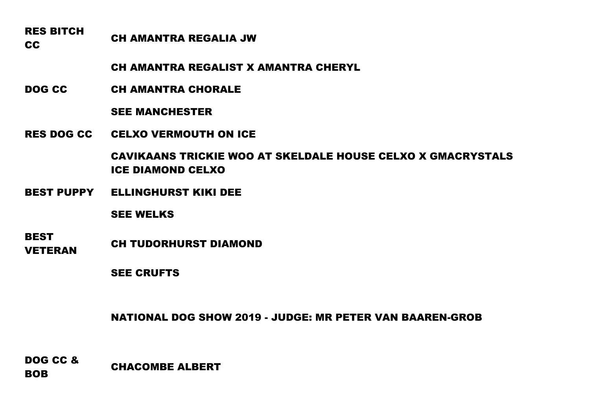# RES BITCH CC CC CH AMANTRA REGALIA JW

CH AMANTRA REGALIST X AMANTRA CHERYL

DOG CC CH AMANTRA CHORALE

# SEE MANCHESTER

RES DOG CC CELXO VERMOUTH ON ICE

CAVIKAANS TRICKIE WOO AT SKELDALE HOUSE CELXO X GMACRYSTALS ICE DIAMOND CELXO

BEST PUPPY ELLINGHURST KIKI DEE

SEE WELKS

**BEST** 

**VETERAN CH TUDORHURST DIAMOND** 

SEE CRUFTS

NATIONAL DOG SHOW 2019 - JUDGE: MR PETER VAN BAAREN-GROB

DOG CC & BOB CHACOMBE ALBERT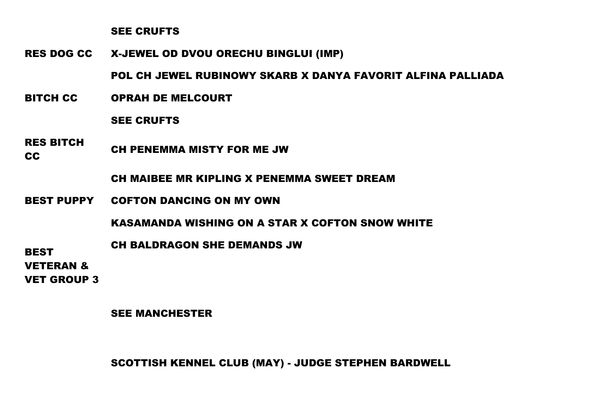#### SEE CRUFTS

RES DOG CC X-JEWEL OD DVOU ORECHU BINGLUI (IMP)

POL CH JEWEL RUBINOWY SKARB X DANYA FAVORIT ALFINA PALLIADA

BITCH CC OPRAH DE MELCOURT

#### SEE CRUFTS

RES BITCH CH PENEMMA MISTY FOR ME JW

CH MAIBEE MR KIPLING X PENEMMA SWEET DREAM

BEST PUPPY COFTON DANCING ON MY OWN

KASAMANDA WISHING ON A STAR X COFTON SNOW WHITE

CH BALDRAGON SHE DEMANDS JW

**BEST** 

VETERAN &

VET GROUP 3

#### SEE MANCHESTER

SCOTTISH KENNEL CLUB (MAY) - JUDGE STEPHEN BARDWELL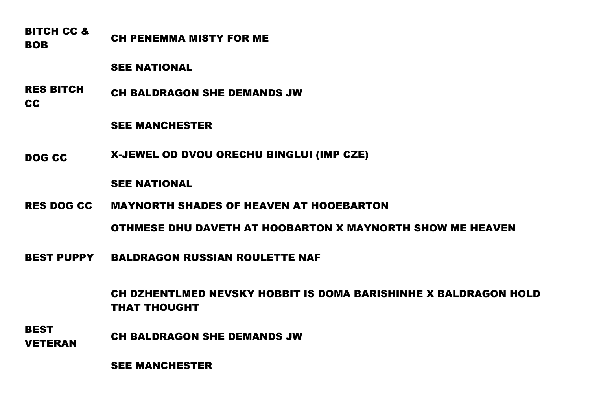BITCH CC & BOB CH PENEMMA MISTY FOR ME

SEE NATIONAL

RES BITCH CC CH BALDRAGON SHE DEMANDS JW

SEE MANCHESTER

DOG CC X-JEWEL OD DVOU ORECHU BINGLUI (IMP CZE)

#### SEE NATIONAL

RES DOG CC MAYNORTH SHADES OF HEAVEN AT HOOEBARTON

OTHMESE DHU DAVETH AT HOOBARTON X MAYNORTH SHOW ME HEAVEN

BEST PUPPY BALDRAGON RUSSIAN ROULETTE NAF

CH DZHENTLMED NEVSKY HOBBIT IS DOMA BARISHINHE X BALDRAGON HOLD THAT THOUGHT

**BEST VETERAN CH BALDRAGON SHE DEMANDS JW** 

SEE MANCHESTER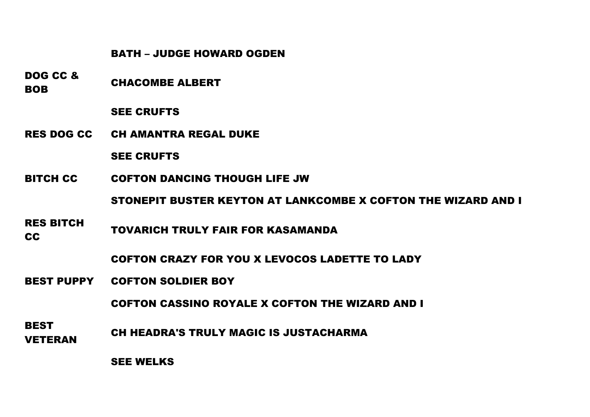#### BATH – JUDGE HOWARD OGDEN

DOG CC & BOB CHACOMBE ALBERT

# SEE CRUFTS

RES DOG CC CH AMANTRA REGAL DUKE

SEE CRUFTS

BITCH CC COFTON DANCING THOUGH LIFE JW

STONEPIT BUSTER KEYTON AT LANKCOMBE X COFTON THE WIZARD AND I

RES BITCH TOVARICH TRULY FAIR FOR KASAMANDA

COFTON CRAZY FOR YOU X LEVOCOS LADETTE TO LADY

BEST PUPPY COFTON SOLDIER BOY

COFTON CASSINO ROYALE X COFTON THE WIZARD AND I

**BEST** VETERAN CH HEADRA'S TRULY MAGIC IS JUSTACHARMA

SEE WELKS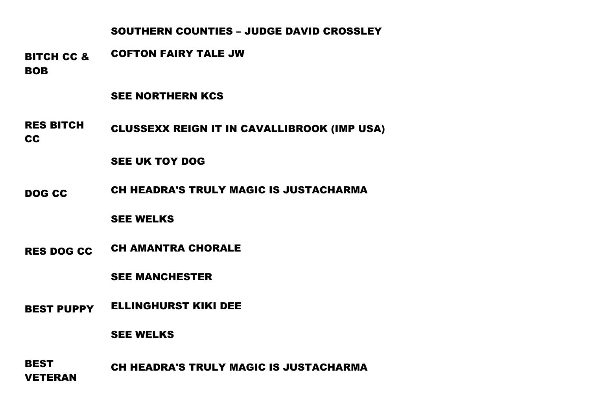# SOUTHERN COUNTIES – JUDGE DAVID CROSSLEY

BITCH CC & BOB COFTON FAIRY TALE JW

# SEE NORTHERN KCS

RES BITCH CC CLUSSEXX REIGN IT IN CAVALLIBROOK (IMP USA)

# SEE UK TOY DOG

DOG CC CH HEADRA'S TRULY MAGIC IS JUSTACHARMA

# SEE WELKS

RES DOG CC CH AMANTRA CHORALE

# SEE MANCHESTER

BEST PUPPY ELLINGHURST KIKI DEE

#### SEE WELKS

**BEST** VETERAN CH HEADRA'S TRULY MAGIC IS JUSTACHARMA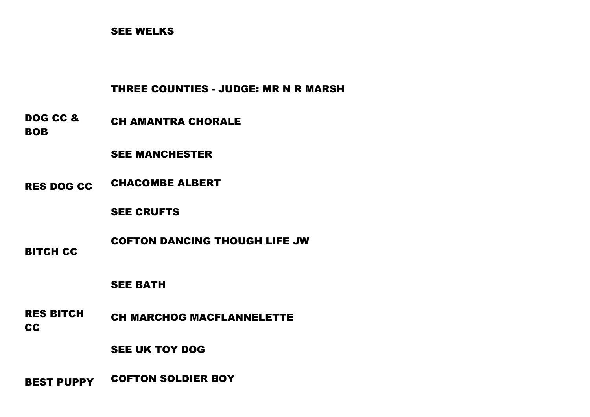# SEE WELKS

# THREE COUNTIES - JUDGE: MR N R MARSH

DOG CC & BOB CH AMANTRA CHORALE

SEE MANCHESTER

RES DOG CC CHACOMBE ALBERT

SEE CRUFTS

BITCH CC COFTON DANCING THOUGH LIFE JW

SEE BATH

RES BITCH CC CH MARCHOG MACFLANNELETTE

SEE UK TOY DOG

BEST PUPPY COFTON SOLDIER BOY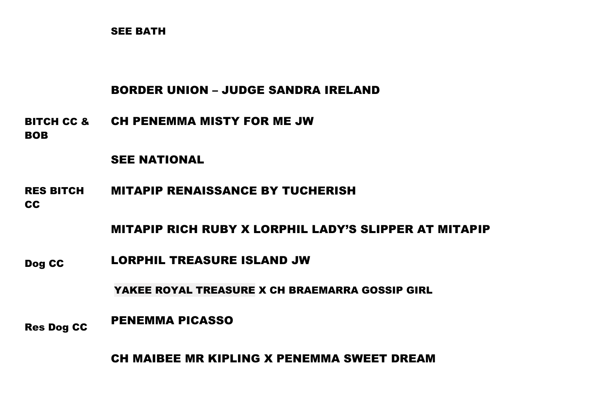SEE BATH

# BORDER UNION – JUDGE SANDRA IRELAND

BITCH CC & CH PENEMMA MISTY FOR ME JW BOB

# SEE NATIONAL

- RES BITCH CC MITAPIP RENAISSANCE BY TUCHERISH
	- MITAPIP RICH RUBY X LORPHIL LADY'S SLIPPER AT MITAPIP
- Dog CC LORPHIL TREASURE ISLAND JW

YAKEE ROYAL TREASURE X CH BRAEMARRA GOSSIP GIRL

Res Dog CC PENEMMA PICASSO

CH MAIBEE MR KIPLING X PENEMMA SWEET DREAM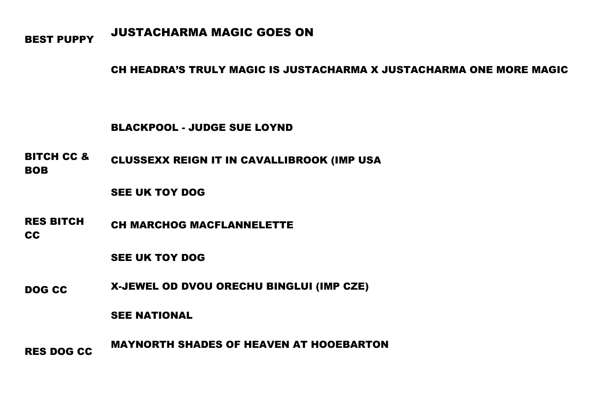# BEST PUPPY JUSTACHARMA MAGIC GOES ON

CH HEADRA'S TRULY MAGIC IS JUSTACHARMA X JUSTACHARMA ONE MORE MAGIC

#### BLACKPOOL - JUDGE SUE LOYND

BITCH CC & BOB CLUSSEXX REIGN IT IN CAVALLIBROOK (IMP USA

SEE UK TOY DOG

RES BITCH CC CH MARCHOG MACFLANNELETTE

SEE UK TOY DOG

DOG CC X-JEWEL OD DVOU ORECHU BINGLUI (IMP CZE)

SEE NATIONAL

RES DOG CC MAYNORTH SHADES OF HEAVEN AT HOOEBARTON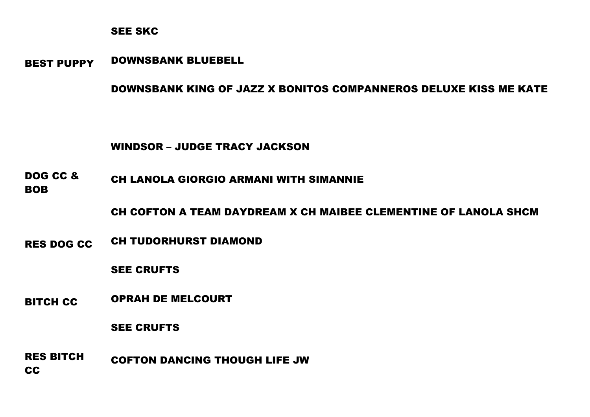#### SEE SKC

BEST PUPPY DOWNSBANK BLUEBELL

# DOWNSBANK KING OF JAZZ X BONITOS COMPANNEROS DELUXE KISS ME KATE

# WINDSOR – JUDGE TRACY JACKSON

DOG CC & BOB CH LANOLA GIORGIO ARMANI WITH SIMANNIE

CH COFTON A TEAM DAYDREAM X CH MAIBEE CLEMENTINE OF LANOLA SHCM

RES DOG CC CH TUDORHURST DIAMOND

SEE CRUFTS

BITCH CC OPRAH DE MELCOURT

SEE CRUFTS

RES BITCH **CC** COFTON DANCING THOUGH LIFE JW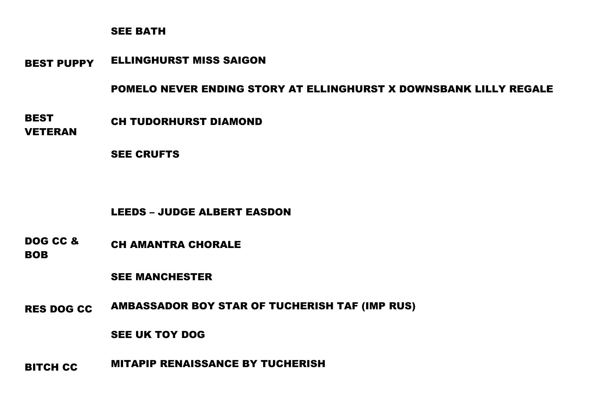# SEE BATH

BEST PUPPY ELLINGHURST MISS SAIGON

POMELO NEVER ENDING STORY AT ELLINGHURST X DOWNSBANK LILLY REGALE

BEST CH TUDORHURST DIAMOND

VETERAN

SEE CRUFTS

# LEEDS – JUDGE ALBERT EASDON

DOG CC & BOB CH AMANTRA CHORALE

SEE MANCHESTER

RES DOG CC AMBASSADOR BOY STAR OF TUCHERISH TAF (IMP RUS)

SEE UK TOY DOG

BITCH CC MITAPIP RENAISSANCE BY TUCHERISH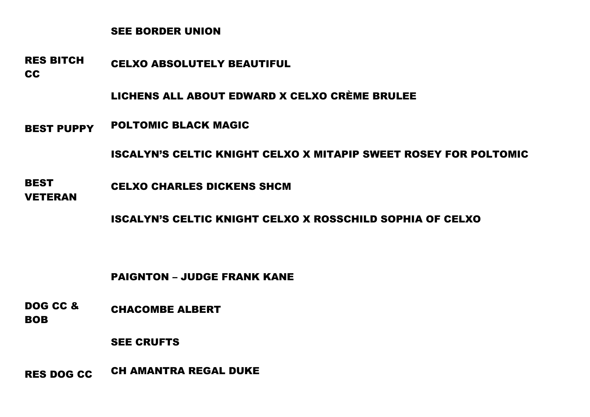# SEE BORDER UNION

RES BITCH CELXO ABSOLUTELY BEAUTIFUL

CC

LICHENS ALL ABOUT EDWARD X CELXO CRÈME BRULEE

BEST PUPPY POLTOMIC BLACK MAGIC

ISCALYN'S CELTIC KNIGHT CELXO X MITAPIP SWEET ROSEY FOR POLTOMIC

- **BEST** CELXO CHARLES DICKENS SHCM
- VETERAN

ISCALYN'S CELTIC KNIGHT CELXO X ROSSCHILD SOPHIA OF CELXO

PAIGNTON – JUDGE FRANK KANE

DOG CC & BOB CHACOMBE ALBERT

SEE CRUFTS

RES DOG CC CH AMANTRA REGAL DUKE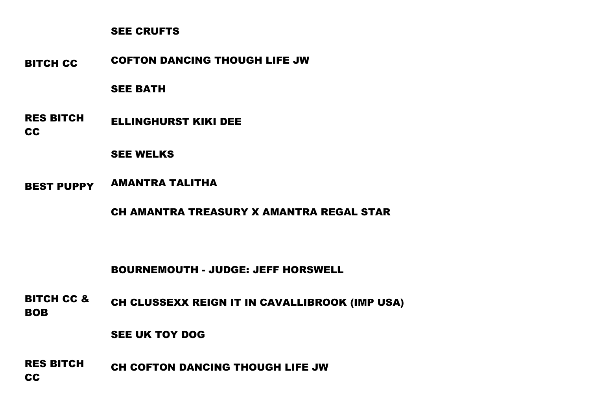# SEE CRUFTS

BITCH CC COFTON DANCING THOUGH LIFE JW

# SEE BATH

RES BITCH CC ELLINGHURST KIKI DEE

#### SEE WELKS

BEST PUPPY AMANTRA TALITHA

CH AMANTRA TREASURY X AMANTRA REGAL STAR

# BOURNEMOUTH - JUDGE: JEFF HORSWELL

BITCH CC & BOB CH CLUSSEXX REIGN IT IN CAVALLIBROOK (IMP USA)

#### SEE UK TOY DOG

RES BITCH CC CH COFTON DANCING THOUGH LIFE JW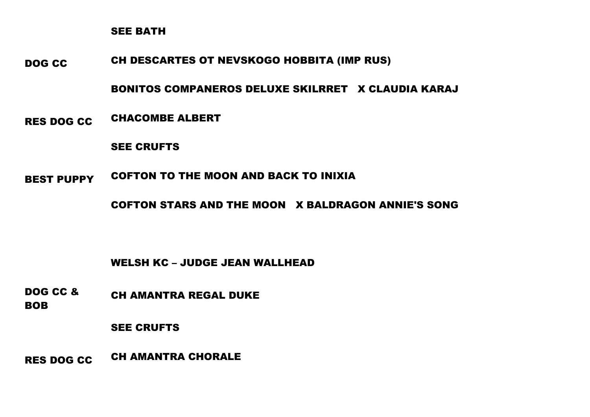SEE BATH

DOG CC CH DESCARTES OT NEVSKOGO HOBBITA (IMP RUS)

BONITOS COMPANEROS DELUXE SKILRRET X CLAUDIA KARAJ

RES DOG CC CHACOMBE ALBERT

SEE CRUFTS

BEST PUPPY COFTON TO THE MOON AND BACK TO INIXIA

COFTON STARS AND THE MOON X BALDRAGON ANNIE'S SONG

WELSH KC – JUDGE JEAN WALLHEAD

DOG CC & BOB CH AMANTRA REGAL DUKE

SEE CRUFTS

RES DOG CC CH AMANTRA CHORALE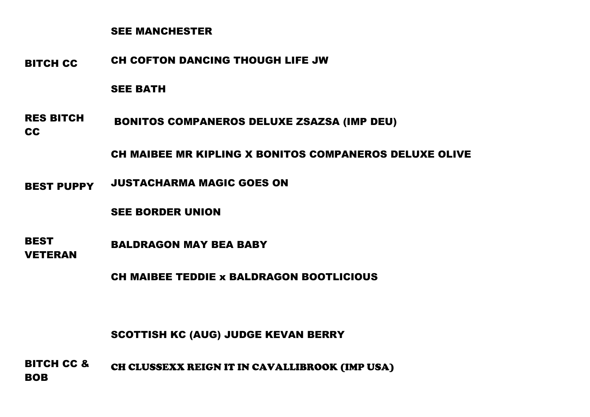#### SEE MANCHESTER

BITCH CC CH COFTON DANCING THOUGH LIFE JW

SEE BATH

RES BITCH CC BONITOS COMPANEROS DELUXE ZSAZSA (IMP DEU)

CH MAIBEE MR KIPLING X BONITOS COMPANEROS DELUXE OLIVE

BEST PUPPY JUSTACHARMA MAGIC GOES ON

SEE BORDER UNION

BEST BALDRAGON MAY BEA BABY

VETERAN

CH MAIBEE TEDDIE x BALDRAGON BOOTLICIOUS

SCOTTISH KC (AUG) JUDGE KEVAN BERRY

BITCH CC & BOB CH CLUSSEXX REIGN IT IN CAVALLIBROOK (IMP USA)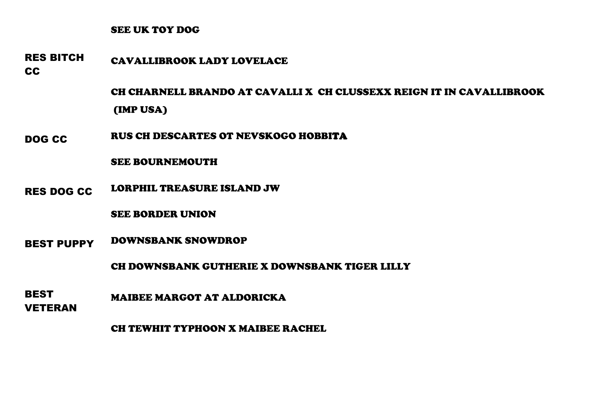#### SEE UK TOY DOG

RES BITCH CAVALLIBROOK LADY LOVELACE

CC

CH CHARNELL BRANDO AT CAVALLI X CH CLUSSEXX REIGN IT IN CAVALLIBROOK (IMP USA)

DOG CC RUS CH DESCARTES OT NEVSKOGO HOBBITA

SEE BOURNEMOUTH

RES DOG CC LORPHIL TREASURE ISLAND JW

SEE BORDER UNION

BEST PUPPY DOWNSBANK SNOWDROP

CH DOWNSBANK GUTHERIE X DOWNSBANK TIGER LILLY

**BEST** MAIBEE MARGOT AT ALDORICKA

VETERAN

CH TEWHIT TYPHOON X MAIBEE RACHEL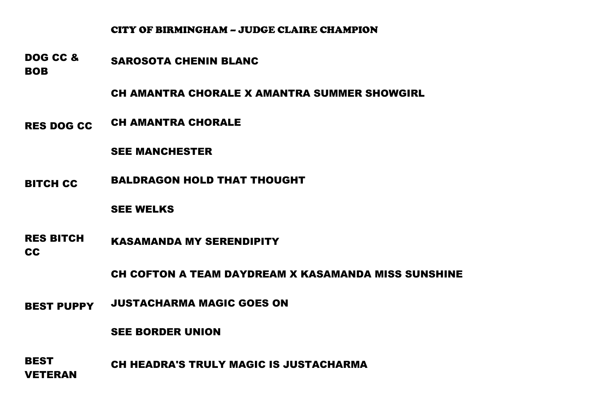#### CITY OF BIRMINGHAM – JUDGE CLAIRE CHAMPION

DOG CC & SAROSOTA CHENIN BLANC

**BOB** 

CH AMANTRA CHORALE X AMANTRA SUMMER SHOWGIRL

RES DOG CC CH AMANTRA CHORALE

SEE MANCHESTER

BITCH CC BALDRAGON HOLD THAT THOUGHT

SEE WELKS

RES BITCH CC KASAMANDA MY SERENDIPITY

CH COFTON A TEAM DAYDREAM X KASAMANDA MISS SUNSHINE

BEST PUPPY JUSTACHARMA MAGIC GOES ON

#### SEE BORDER UNION

**BEST** VETERAN CH HEADRA'S TRULY MAGIC IS JUSTACHARMA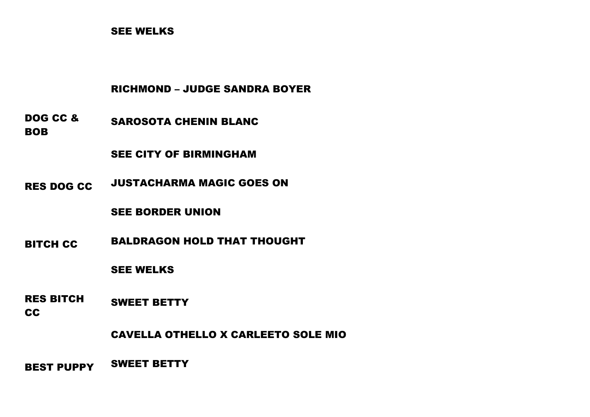# SEE WELKS

# RICHMOND – JUDGE SANDRA BOYER

DOG CC & BOB SAROSOTA CHENIN BLANC

SEE CITY OF BIRMINGHAM

RES DOG CC JUSTACHARMA MAGIC GOES ON

SEE BORDER UNION

BITCH CC BALDRAGON HOLD THAT THOUGHT

SEE WELKS

RES BITCH CC SWEET BETTY

CAVELLA OTHELLO X CARLEETO SOLE MIO

BEST PUPPY SWEET BETTY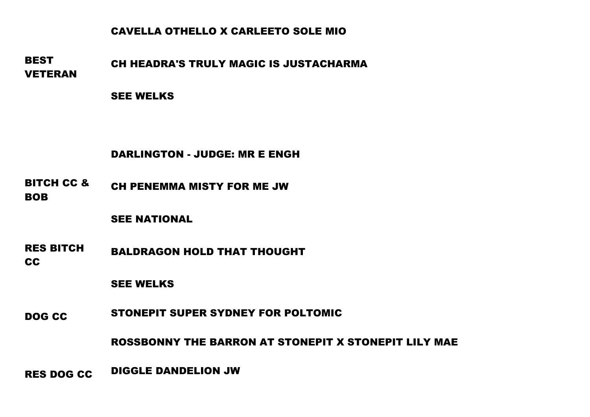# CAVELLA OTHELLO X CARLEETO SOLE MIO

**BEST** VETERAN CH HEADRA'S TRULY MAGIC IS JUSTACHARMA

SEE WELKS

DARLINGTON - JUDGE: MR E ENGH

BITCH CC & BOB CH PENEMMA MISTY FOR ME JW

SEE NATIONAL

RES BITCH CC BALDRAGON HOLD THAT THOUGHT

SEE WELKS

DOG CC STONEPIT SUPER SYDNEY FOR POLTOMIC

ROSSBONNY THE BARRON AT STONEPIT X STONEPIT LILY MAE

RES DOG CC DIGGLE DANDELION JW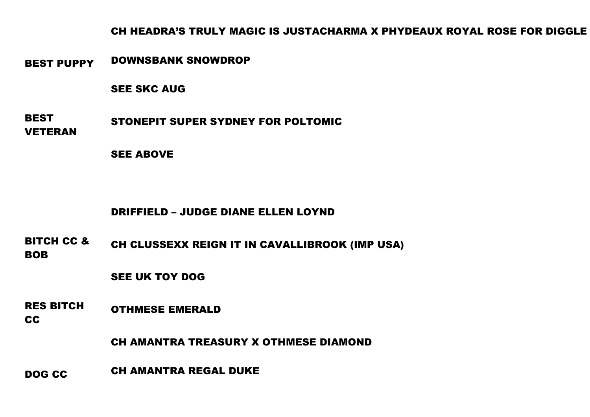CH HEADRA'S TRULY MAGIC IS JUSTACHARMA X PHYDEAUX ROYAL ROSE FOR DIGGLE

BEST PUPPY DOWNSBANK SNOWDROP

SEE SKC AUG

**BEST** VETERAN STONEPIT SUPER SYDNEY FOR POLTOMIC

SEE ABOVE

# DRIFFIELD – JUDGE DIANE ELLEN LOYND

BITCH CC & BOB CH CLUSSEXX REIGN IT IN CAVALLIBROOK (IMP USA)

SEE UK TOY DOG

RES BITCH OTHMESE EMERALD

CC

CH AMANTRA TREASURY X OTHMESE DIAMOND

DOG CC CH AMANTRA REGAL DUKE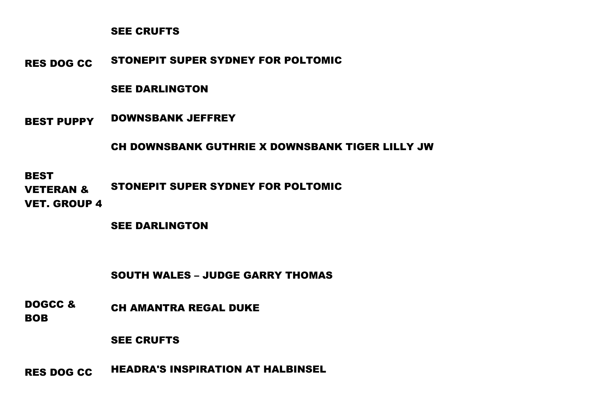#### SEE CRUFTS

RES DOG CC STONEPIT SUPER SYDNEY FOR POLTOMIC

# SEE DARLINGTON

BEST PUPPY DOWNSBANK JEFFREY

# CH DOWNSBANK GUTHRIE X DOWNSBANK TIGER LILLY JW

**BEST** VETERAN & VET. GROUP 4 STONEPIT SUPER SYDNEY FOR POLTOMIC

SEE DARLINGTON

# SOUTH WALES – JUDGE GARRY THOMAS

DOGCC & CH AMANTRA REGAL DUKE

BOB

#### SEE CRUFTS

RES DOG CC HEADRA'S INSPIRATION AT HALBINSEL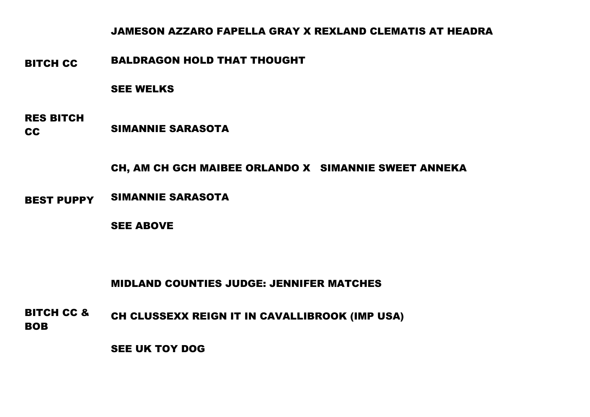# JAMESON AZZARO FAPELLA GRAY X REXLAND CLEMATIS AT HEADRA

BITCH CC BALDRAGON HOLD THAT THOUGHT

#### SEE WELKS

RES BITCH CC SIMANNIE SARASOTA

# CH, AM CH GCH MAIBEE ORLANDO X SIMANNIE SWEET ANNEKA

BEST PUPPY SIMANNIE SARASOTA

SEE ABOVE

# MIDLAND COUNTIES JUDGE: JENNIFER MATCHES

BITCH CC & BOB CH CLUSSEXX REIGN IT IN CAVALLIBROOK (IMP USA)

SEE UK TOY DOG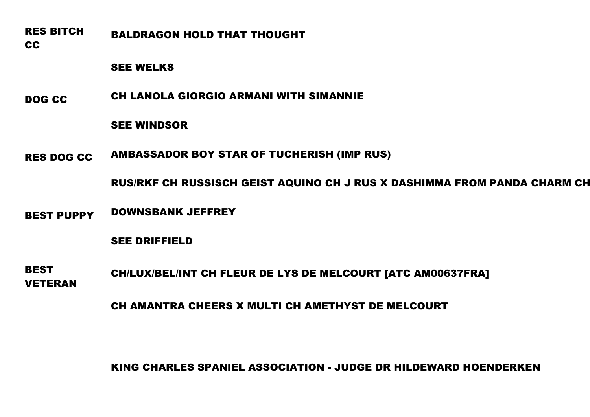RES BITCH CC BALDRAGON HOLD THAT THOUGHT

SEE WELKS

DOG CC CH LANOLA GIORGIO ARMANI WITH SIMANNIE

SEE WINDSOR

RES DOG CC AMBASSADOR BOY STAR OF TUCHERISH (IMP RUS)

RUS/RKF CH RUSSISCH GEIST AQUINO CH J RUS X DASHIMMA FROM PANDA CHARM CH J RUS

BEST PUPPY DOWNSBANK JEFFREY

SEE DRIFFIELD

BEST VETERAN CH/LUX/BEL/INT CH FLEUR DE LYS DE MELCOURT [ATC AM00637FRA]

CH AMANTRA CHEERS X MULTI CH AMETHYST DE MELCOURT

KING CHARLES SPANIEL ASSOCIATION - JUDGE DR HILDEWARD HOENDERKEN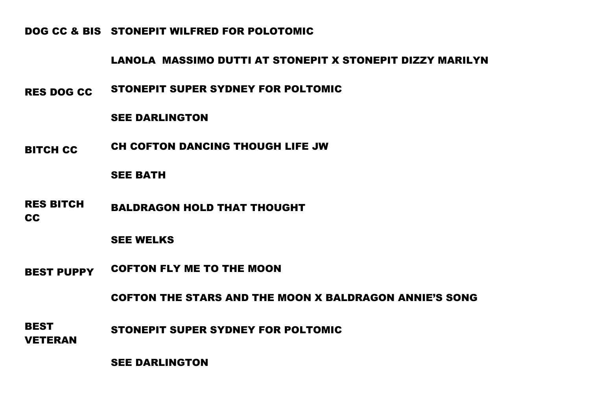DOG CC & BIS STONEPIT WILFRED FOR POLOTOMIC

# LANOLA MASSIMO DUTTI AT STONEPIT X STONEPIT DIZZY MARILYN

RES DOG CC STONEPIT SUPER SYDNEY FOR POLTOMIC

#### SEE DARLINGTON

BITCH CC CH COFTON DANCING THOUGH LIFE JW

#### SEE BATH

- RES BITCH BALDRAGON HOLD THAT THOUGHT
- CC

# SEE WELKS

BEST PUPPY COFTON FLY ME TO THE MOON

COFTON THE STARS AND THE MOON X BALDRAGON ANNIE'S SONG

- **BEST** STONEPIT SUPER SYDNEY FOR POLTOMIC
- VETERAN

SEE DARLINGTON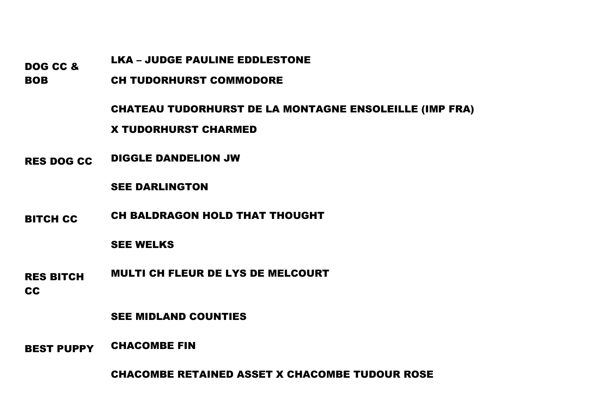# LKA – JUDGE PAULINE EDDLESTONE

DOG CC &

BOB CH TUDORHURST COMMODORE

CHATEAU TUDORHURST DE LA MONTAGNE ENSOLEILLE (IMP FRA)

X TUDORHURST CHARMED

RES DOG CC DIGGLE DANDELION JW

#### SEE DARLINGTON

BITCH CC CH BALDRAGON HOLD THAT THOUGHT

# SEE WELKS

- RES BITCH MULTI CH FLEUR DE LYS DE MELCOURT
- CC

# SEE MIDLAND COUNTIES

BEST PUPPY CHACOMBE FIN

CHACOMBE RETAINED ASSET X CHACOMBE TUDOUR ROSE